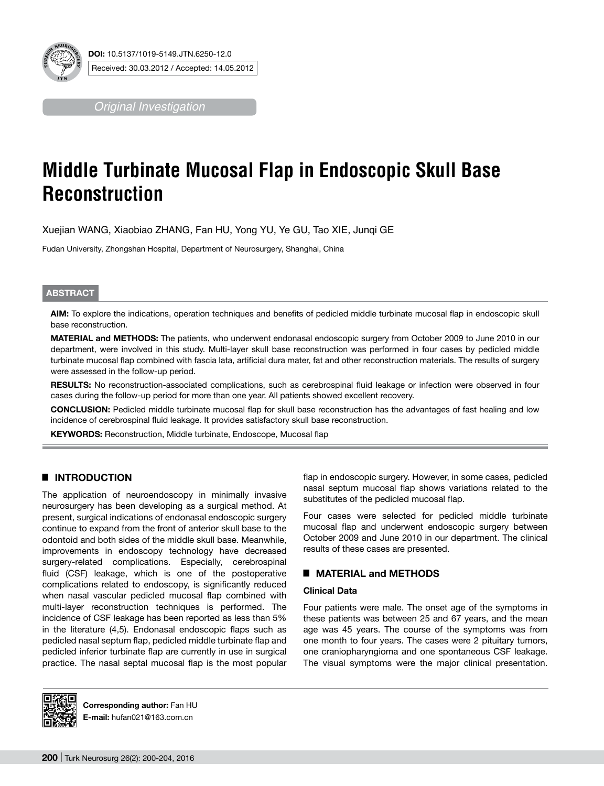

*Original Investigation*

# **Middle Turbinate Mucosal Flap in Endoscopic Skull Base Reconstruction**

Xuejian WANG, Xiaobiao Zhang, Fan Hu, Yong Yu, Ye GU, Tao XIE, Junqi GE

Fudan University, Zhongshan Hospital, Department of Neurosurgery, Shanghai, China

## **ABSTRACT**

**AIm:** To explore the indications, operation techniques and benefits of pedicled middle turbinate mucosal flap in endoscopic skull base reconstruction.

**MaterIal and Methods:** The patients, who underwent endonasal endoscopic surgery from October 2009 to June 2010 in our department, were involved in this study. Multi-layer skull base reconstruction was performed in four cases by pedicled middle turbinate mucosal flap combined with fascia lata, artificial dura mater, fat and other reconstruction materials. The results of surgery were assessed in the follow-up period.

**Results:** No reconstruction-associated complications, such as cerebrospinal fluid leakage or infection were observed in four cases during the follow-up period for more than one year. All patients showed excellent recovery.

**ConclusIon:** Pedicled middle turbinate mucosal flap for skull base reconstruction has the advantages of fast healing and low incidence of cerebrospinal fluid leakage. It provides satisfactory skull base reconstruction.

KEYWORDS: Reconstruction, Middle turbinate, Endoscope, Mucosal flap

# █ **INTRODUCTION**

The application of neuroendoscopy in minimally invasive neurosurgery has been developing as a surgical method. At present, surgical indications of endonasal endoscopic surgery continue to expand from the front of anterior skull base to the odontoid and both sides of the middle skull base. Meanwhile, improvements in endoscopy technology have decreased surgery-related complications. Especially, cerebrospinal fluid (CSF) leakage, which is one of the postoperative complications related to endoscopy, is significantly reduced when nasal vascular pedicled mucosal flap combined with multi-layer reconstruction techniques is performed. The incidence of CSF leakage has been reported as less than 5% in the literature (4,5). Endonasal endoscopic flaps such as pedicled nasal septum flap, pedicled middle turbinate flap and pedicled inferior turbinate flap are currently in use in surgical practice. The nasal septal mucosal flap is the most popular flap in endoscopic surgery. However, in some cases, pedicled nasal septum mucosal flap shows variations related to the substitutes of the pedicled mucosal flap.

Four cases were selected for pedicled middle turbinate mucosal flap and underwent endoscopic surgery between October 2009 and June 2010 in our department. The clinical results of these cases are presented.

## █ **MATERIAL and METHODS**

## **Clinical Data**

Four patients were male. The onset age of the symptoms in these patients was between 25 and 67 years, and the mean age was 45 years. The course of the symptoms was from one month to four years. The cases were 2 pituitary tumors, one craniopharyngioma and one spontaneous CSF leakage. The visual symptoms were the major clinical presentation.



**Corresponding author:** Fan Hu **E-mail:** hufan021@163.com.cn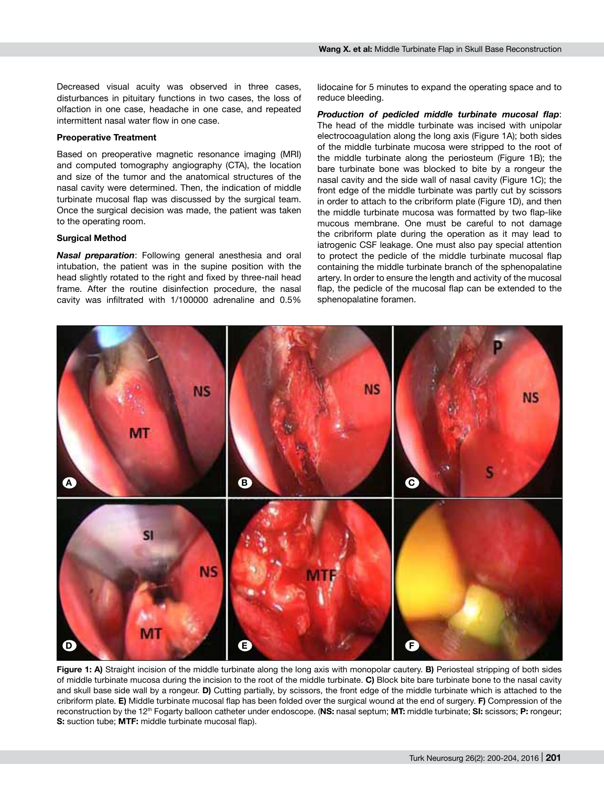Decreased visual acuity was observed in three cases, disturbances in pituitary functions in two cases, the loss of olfaction in one case, headache in one case, and repeated intermittent nasal water flow in one case.

#### **Preoperative Treatment**

Based on preoperative magnetic resonance imaging (MRI) and computed tomography angiography (CTA), the location and size of the tumor and the anatomical structures of the nasal cavity were determined. Then, the indication of middle turbinate mucosal flap was discussed by the surgical team. Once the surgical decision was made, the patient was taken to the operating room.

#### **Surgical Method**

*Nasal preparation*: Following general anesthesia and oral intubation, the patient was in the supine position with the head slightly rotated to the right and fixed by three-nail head frame. After the routine disinfection procedure, the nasal cavity was infiltrated with 1/100000 adrenaline and 0.5%

lidocaine for 5 minutes to expand the operating space and to reduce bleeding.

*Production of pedicled middle turbinate mucosal flap*: The head of the middle turbinate was incised with unipolar electrocoagulation along the long axis (Figure 1A); both sides of the middle turbinate mucosa were stripped to the root of the middle turbinate along the periosteum (Figure 1B); the bare turbinate bone was blocked to bite by a rongeur the nasal cavity and the side wall of nasal cavity (Figure 1C); the front edge of the middle turbinate was partly cut by scissors in order to attach to the cribriform plate (Figure 1D), and then the middle turbinate mucosa was formatted by two flap-like mucous membrane. One must be careful to not damage the cribriform plate during the operation as it may lead to iatrogenic CSF leakage. One must also pay special attention to protect the pedicle of the middle turbinate mucosal flap containing the middle turbinate branch of the sphenopalatine artery. In order to ensure the length and activity of the mucosal flap, the pedicle of the mucosal flap can be extended to the sphenopalatine foramen.



**Figure 1: A)** Straight incision of the middle turbinate along the long axis with monopolar cautery. **B)** Periosteal stripping of both sides of middle turbinate mucosa during the incision to the root of the middle turbinate. **C)** Block bite bare turbinate bone to the nasal cavity and skull base side wall by a rongeur. **D)** Cutting partially, by scissors, the front edge of the middle turbinate which is attached to the cribriform plate. **E)** Middle turbinate mucosal flap has been folded over the surgical wound at the end of surgery. **F)** Compression of the reconstruction by the 12th Fogarty balloon catheter under endoscope. (**NS:** nasal septum; **MT:** middle turbinate; **SI:** scissors; **P:** rongeur; **S:** suction tube; **MTF:** middle turbinate mucosal flap).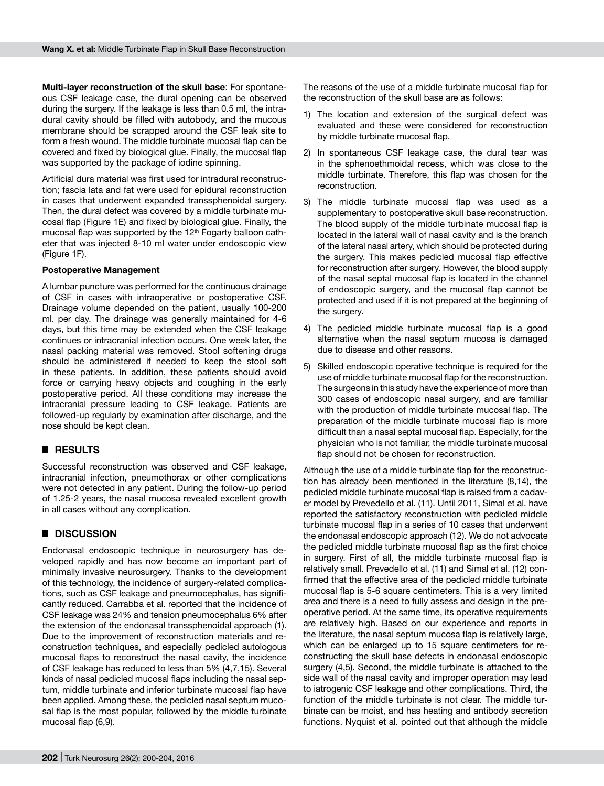**Multi-layer reconstruction of the skull base**: For spontaneous CSF leakage case, the dural opening can be observed during the surgery. If the leakage is less than 0.5 ml, the intradural cavity should be filled with autobody, and the mucous membrane should be scrapped around the CSF leak site to form a fresh wound. The middle turbinate mucosal flap can be covered and fixed by biological glue. Finally, the mucosal flap was supported by the package of iodine spinning.

Artificial dura material was first used for intradural reconstruction; fascia lata and fat were used for epidural reconstruction in cases that underwent expanded transsphenoidal surgery. Then, the dural defect was covered by a middle turbinate mucosal flap (Figure 1E) and fixed by biological glue. Finally, the mucosal flap was supported by the  $12<sup>th</sup>$  Fogarty balloon catheter that was injected 8-10 ml water under endoscopic view (Figure 1F).

#### **Postoperative Management**

A lumbar puncture was performed for the continuous drainage of CSF in cases with intraoperative or postoperative CSF. Drainage volume depended on the patient, usually 100-200 ml. per day. The drainage was generally maintained for 4-6 days, but this time may be extended when the CSF leakage continues or intracranial infection occurs. One week later, the nasal packing material was removed. Stool softening drugs should be administered if needed to keep the stool soft in these patients. In addition, these patients should avoid force or carrying heavy objects and coughing in the early postoperative period. All these conditions may increase the intracranial pressure leading to CSF leakage. Patients are followed-up regularly by examination after discharge, and the nose should be kept clean.

# █ **RESULTS**

Successful reconstruction was observed and CSF leakage, intracranial infection, pneumothorax or other complications were not detected in any patient. During the follow-up period of 1.25-2 years, the nasal mucosa revealed excellent growth in all cases without any complication.

# █ **DISCUSSION**

Endonasal endoscopic technique in neurosurgery has developed rapidly and has now become an important part of minimally invasive neurosurgery. Thanks to the development of this technology, the incidence of surgery-related complications, such as CSF leakage and pneumocephalus, has significantly reduced. Carrabba et al. reported that the incidence of CSF leakage was 24% and tension pneumocephalus 6% after the extension of the endonasal transsphenoidal approach (1). Due to the improvement of reconstruction materials and reconstruction techniques, and especially pedicled autologous mucosal flaps to reconstruct the nasal cavity, the incidence of CSF leakage has reduced to less than 5% (4,7,15). Several kinds of nasal pedicled mucosal flaps including the nasal septum, middle turbinate and inferior turbinate mucosal flap have been applied. Among these, the pedicled nasal septum mucosal flap is the most popular, followed by the middle turbinate mucosal flap (6,9).

The reasons of the use of a middle turbinate mucosal flap for the reconstruction of the skull base are as follows:

- 1) The location and extension of the surgical defect was evaluated and these were considered for reconstruction by middle turbinate mucosal flap.
- 2) In spontaneous CSF leakage case, the dural tear was in the sphenoethmoidal recess, which was close to the middle turbinate. Therefore, this flap was chosen for the reconstruction.
- 3) The middle turbinate mucosal flap was used as a supplementary to postoperative skull base reconstruction. The blood supply of the middle turbinate mucosal flap is located in the lateral wall of nasal cavity and is the branch of the lateral nasal artery, which should be protected during the surgery. This makes pedicled mucosal flap effective for reconstruction after surgery. However, the blood supply of the nasal septal mucosal flap is located in the channel of endoscopic surgery, and the mucosal flap cannot be protected and used if it is not prepared at the beginning of the surgery.
- 4) The pedicled middle turbinate mucosal flap is a good alternative when the nasal septum mucosa is damaged due to disease and other reasons.
- 5) Skilled endoscopic operative technique is required for the use of middle turbinate mucosal flap for the reconstruction. The surgeons in this study have the experience of more than 300 cases of endoscopic nasal surgery, and are familiar with the production of middle turbinate mucosal flap. The preparation of the middle turbinate mucosal flap is more difficult than a nasal septal mucosal flap. Especially, for the physician who is not familiar, the middle turbinate mucosal flap should not be chosen for reconstruction.

Although the use of a middle turbinate flap for the reconstruction has already been mentioned in the literature (8,14), the pedicled middle turbinate mucosal flap is raised from a cadaver model by Prevedello et al. (11). Until 2011, Simal et al. have reported the satisfactory reconstruction with pedicled middle turbinate mucosal flap in a series of 10 cases that underwent the endonasal endoscopic approach (12). We do not advocate the pedicled middle turbinate mucosal flap as the first choice in surgery. First of all, the middle turbinate mucosal flap is relatively small. Prevedello et al. (11) and Simal et al. (12) confirmed that the effective area of the pedicled middle turbinate mucosal flap is 5-6 square centimeters. This is a very limited area and there is a need to fully assess and design in the preoperative period. At the same time, its operative requirements are relatively high. Based on our experience and reports in the literature, the nasal septum mucosa flap is relatively large, which can be enlarged up to 15 square centimeters for reconstructing the skull base defects in endonasal endoscopic surgery (4,5). Second, the middle turbinate is attached to the side wall of the nasal cavity and improper operation may lead to iatrogenic CSF leakage and other complications. Third, the function of the middle turbinate is not clear. The middle turbinate can be moist, and has heating and antibody secretion functions. Nyquist et al. pointed out that although the middle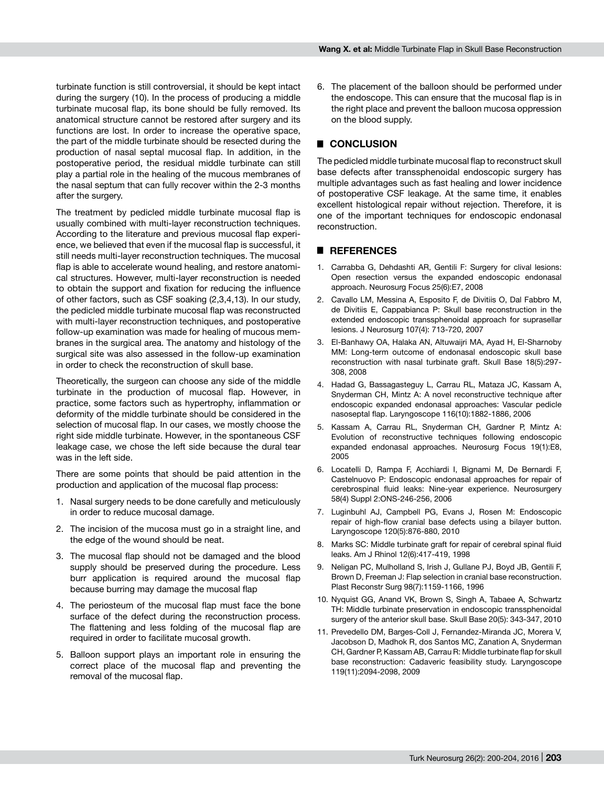turbinate function is still controversial, it should be kept intact during the surgery (10). In the process of producing a middle turbinate mucosal flap, its bone should be fully removed. Its anatomical structure cannot be restored after surgery and its functions are lost. In order to increase the operative space, the part of the middle turbinate should be resected during the production of nasal septal mucosal flap. In addition, in the postoperative period, the residual middle turbinate can still play a partial role in the healing of the mucous membranes of the nasal septum that can fully recover within the 2-3 months after the surgery.

The treatment by pedicled middle turbinate mucosal flap is usually combined with multi-layer reconstruction techniques. According to the literature and previous mucosal flap experience, we believed that even if the mucosal flap is successful, it still needs multi-layer reconstruction techniques. The mucosal flap is able to accelerate wound healing, and restore anatomical structures. However, multi-layer reconstruction is needed to obtain the support and fixation for reducing the influence of other factors, such as CSF soaking (2,3,4,13). In our study, the pedicled middle turbinate mucosal flap was reconstructed with multi-layer reconstruction techniques, and postoperative follow-up examination was made for healing of mucous membranes in the surgical area. The anatomy and histology of the surgical site was also assessed in the follow-up examination in order to check the reconstruction of skull base.

Theoretically, the surgeon can choose any side of the middle turbinate in the production of mucosal flap. However, in practice, some factors such as hypertrophy, inflammation or deformity of the middle turbinate should be considered in the selection of mucosal flap. In our cases, we mostly choose the right side middle turbinate. However, in the spontaneous CSF leakage case, we chose the left side because the dural tear was in the left side.

There are some points that should be paid attention in the production and application of the mucosal flap process:

- 1. Nasal surgery needs to be done carefully and meticulously in order to reduce mucosal damage.
- 2. The incision of the mucosa must go in a straight line, and the edge of the wound should be neat.
- 3. The mucosal flap should not be damaged and the blood supply should be preserved during the procedure. Less burr application is required around the mucosal flap because burring may damage the mucosal flap
- 4. The periosteum of the mucosal flap must face the bone surface of the defect during the reconstruction process. The flattening and less folding of the mucosal flap are required in order to facilitate mucosal growth.
- 5. Balloon support plays an important role in ensuring the correct place of the mucosal flap and preventing the removal of the mucosal flap.

6. The placement of the balloon should be performed under the endoscope. This can ensure that the mucosal flap is in the right place and prevent the balloon mucosa oppression on the blood supply.

# █ **CONCLUSION**

The pedicled middle turbinate mucosal flap to reconstruct skull base defects after transsphenoidal endoscopic surgery has multiple advantages such as fast healing and lower incidence of postoperative CSF leakage. At the same time, it enables excellent histological repair without rejection. Therefore, it is one of the important techniques for endoscopic endonasal reconstruction.

# █ **REFERENCES**

- 1. Carrabba G, Dehdashti AR, Gentili F: Surgery for clival lesions: Open resection versus the expanded endoscopic endonasal approach. Neurosurg Focus 25(6):E7, 2008
- 2. Cavallo LM, Messina A, Esposito F, de Divitiis O, Dal Fabbro M, de Divitiis E, Cappabianca P: Skull base reconstruction in the extended endoscopic transsphenoidal approach for suprasellar lesions. J Neurosurg 107(4): 713-720, 2007
- 3. El-Banhawy OA, Halaka AN, Altuwaijri MA, Ayad H, El-Sharnoby MM: Long-term outcome of endonasal endoscopic skull base reconstruction with nasal turbinate graft. Skull Base 18(5):297- 308, 2008
- 4. Hadad G, Bassagasteguy L, Carrau RL, Mataza JC, Kassam A, Snyderman CH, Mintz A: A novel reconstructive technique after endoscopic expanded endonasal approaches: Vascular pedicle nasoseptal flap. Laryngoscope 116(10):1882-1886, 2006
- 5. Kassam A, Carrau RL, Snyderman CH, Gardner P, Mintz A: Evolution of reconstructive techniques following endoscopic expanded endonasal approaches. Neurosurg Focus 19(1):E8, 2005
- 6. Locatelli D, Rampa F, Acchiardi I, Bignami M, De Bernardi F, Castelnuovo P: Endoscopic endonasal approaches for repair of cerebrospinal fluid leaks: Nine-year experience. Neurosurgery 58(4) Suppl 2:ONS-246-256, 2006
- 7. Luginbuhl AJ, Campbell PG, Evans J, Rosen M: Endoscopic repair of high-flow cranial base defects using a bilayer button. Laryngoscope 120(5):876-880, 2010
- 8. Marks SC: Middle turbinate graft for repair of cerebral spinal fluid leaks. Am J Rhinol 12(6):417-419, 1998
- 9. Neligan PC, Mulholland S, Irish J, Gullane PJ, Boyd JB, Gentili F, Brown D, Freeman J: Flap selection in cranial base reconstruction. Plast Reconstr Surg 98(7):1159-1166, 1996
- 10. Nyquist GG, Anand VK, Brown S, Singh A, Tabaee A, Schwartz TH: Middle turbinate preservation in endoscopic transsphenoidal surgery of the anterior skull base. Skull Base 20(5): 343-347, 2010
- 11. Prevedello DM, Barges-Coll J, Fernandez-Miranda JC, Morera V, Jacobson D, Madhok R, dos Santos MC, Zanation A, Snyderman CH, Gardner P, Kassam AB, Carrau R: Middle turbinate flap for skull base reconstruction: Cadaveric feasibility study. Laryngoscope 119(11):2094-2098, 2009